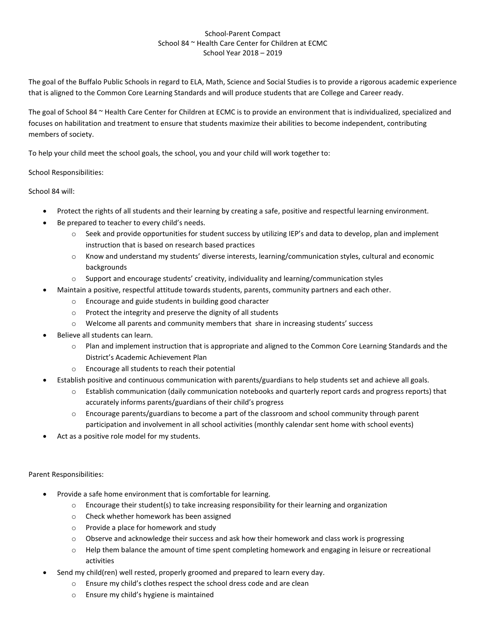## School-Parent Compact School 84 ~ Health Care Center for Children at ECMC School Year 2018 – 2019

The goal of the Buffalo Public Schools in regard to ELA, Math, Science and Social Studies is to provide a rigorous academic experience that is aligned to the Common Core Learning Standards and will produce students that are College and Career ready.

The goal of School 84 ~ Health Care Center for Children at ECMC is to provide an environment that is individualized, specialized and focuses on habilitation and treatment to ensure that students maximize their abilities to become independent, contributing members of society.

To help your child meet the school goals, the school, you and your child will work together to:

## School Responsibilities:

School 84 will:

- Protect the rights of all students and their learning by creating a safe, positive and respectful learning environment.
- Be prepared to teacher to every child's needs.
	- o Seek and provide opportunities for student success by utilizing IEP's and data to develop, plan and implement instruction that is based on research based practices
	- o Know and understand my students' diverse interests, learning/communication styles, cultural and economic backgrounds
	- $\circ$  Support and encourage students' creativity, individuality and learning/communication styles
- Maintain a positive, respectful attitude towards students, parents, community partners and each other.
	- o Encourage and guide students in building good character
	- o Protect the integrity and preserve the dignity of all students
	- o Welcome all parents and community members that share in increasing students' success
- Believe all students can learn.
	- o Plan and implement instruction that is appropriate and aligned to the Common Core Learning Standards and the District's Academic Achievement Plan
	- o Encourage all students to reach their potential
- Establish positive and continuous communication with parents/guardians to help students set and achieve all goals.
	- o Establish communication (daily communication notebooks and quarterly report cards and progress reports) that accurately informs parents/guardians of their child's progress
	- o Encourage parents/guardians to become a part of the classroom and school community through parent participation and involvement in all school activities (monthly calendar sent home with school events)
- Act as a positive role model for my students.

## Parent Responsibilities:

- Provide a safe home environment that is comfortable for learning.
	- $\circ$  Encourage their student(s) to take increasing responsibility for their learning and organization
	- o Check whether homework has been assigned
	- o Provide a place for homework and study
	- $\circ$  Observe and acknowledge their success and ask how their homework and class work is progressing
	- o Help them balance the amount of time spent completing homework and engaging in leisure or recreational activities
- Send my child(ren) well rested, properly groomed and prepared to learn every day.
	- o Ensure my child's clothes respect the school dress code and are clean
	- o Ensure my child's hygiene is maintained